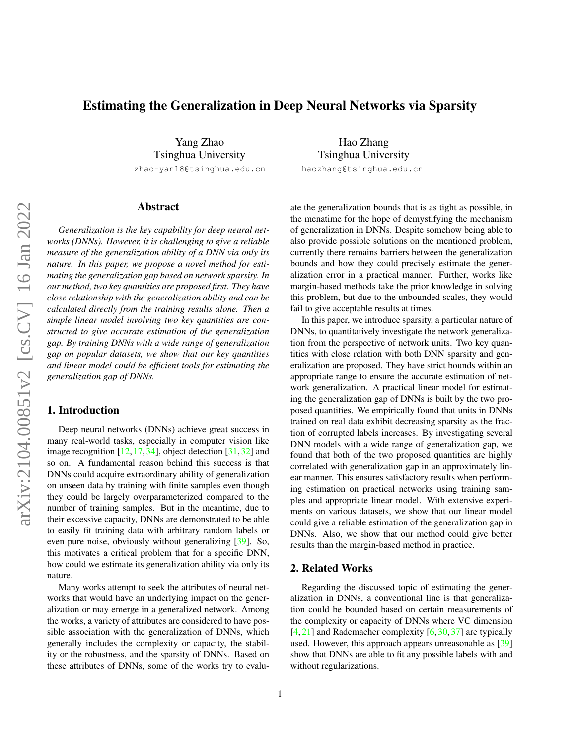# <span id="page-0-0"></span>Estimating the Generalization in Deep Neural Networks via Sparsity

Yang Zhao Tsinghua University

zhao-yan18@tsinghua.edu.cn

# Abstract

arXiv:2104.00851v2 [cs.CV] 16 Jan 2022 arXiv:2104.00851v2 [cs.CV] 16 Jan 2022

*Generalization is the key capability for deep neural networks (DNNs). However, it is challenging to give a reliable measure of the generalization ability of a DNN via only its nature. In this paper, we propose a novel method for estimating the generalization gap based on network sparsity. In our method, two key quantities are proposed first. They have close relationship with the generalization ability and can be calculated directly from the training results alone. Then a simple linear model involving two key quantities are constructed to give accurate estimation of the generalization gap. By training DNNs with a wide range of generalization gap on popular datasets, we show that our key quantities and linear model could be efficient tools for estimating the generalization gap of DNNs.*

## 1. Introduction

Deep neural networks (DNNs) achieve great success in many real-world tasks, especially in computer vision like image recognition  $[12, 17, 34]$  $[12, 17, 34]$  $[12, 17, 34]$  $[12, 17, 34]$  $[12, 17, 34]$ , object detection  $[31, 32]$  $[31, 32]$  $[31, 32]$  and so on. A fundamental reason behind this success is that DNNs could acquire extraordinary ability of generalization on unseen data by training with finite samples even though they could be largely overparameterized compared to the number of training samples. But in the meantime, due to their excessive capacity, DNNs are demonstrated to be able to easily fit training data with arbitrary random labels or even pure noise, obviously without generalizing [\[39\]](#page-8-4). So, this motivates a critical problem that for a specific DNN, how could we estimate its generalization ability via only its nature.

Many works attempt to seek the attributes of neural networks that would have an underlying impact on the generalization or may emerge in a generalized network. Among the works, a variety of attributes are considered to have possible association with the generalization of DNNs, which generally includes the complexity or capacity, the stability or the robustness, and the sparsity of DNNs. Based on these attributes of DNNs, some of the works try to evalu-

Hao Zhang Tsinghua University haozhang@tsinghua.edu.cn

ate the generalization bounds that is as tight as possible, in the menatime for the hope of demystifying the mechanism of generalization in DNNs. Despite somehow being able to also provide possible solutions on the mentioned problem, currently there remains barriers between the generalization bounds and how they could precisely estimate the generalization error in a practical manner. Further, works like margin-based methods take the prior knowledge in solving this problem, but due to the unbounded scales, they would fail to give acceptable results at times.

In this paper, we introduce sparsity, a particular nature of DNNs, to quantitatively investigate the network generalization from the perspective of network units. Two key quantities with close relation with both DNN sparsity and generalization are proposed. They have strict bounds within an appropriate range to ensure the accurate estimation of network generalization. A practical linear model for estimating the generalization gap of DNNs is built by the two proposed quantities. We empirically found that units in DNNs trained on real data exhibit decreasing sparsity as the fraction of corrupted labels increases. By investigating several DNN models with a wide range of generalization gap, we found that both of the two proposed quantities are highly correlated with generalization gap in an approximately linear manner. This ensures satisfactory results when performing estimation on practical networks using training samples and appropriate linear model. With extensive experiments on various datasets, we show that our linear model could give a reliable estimation of the generalization gap in DNNs. Also, we show that our method could give better results than the margin-based method in practice.

### 2. Related Works

Regarding the discussed topic of estimating the generalization in DNNs, a conventional line is that generalization could be bounded based on certain measurements of the complexity or capacity of DNNs where VC dimension  $[4, 21]$  $[4, 21]$  $[4, 21]$  and Rademacher complexity  $[6, 30, 37]$  $[6, 30, 37]$  $[6, 30, 37]$  $[6, 30, 37]$  $[6, 30, 37]$  are typically used. However, this approach appears unreasonable as [\[39\]](#page-8-4) show that DNNs are able to fit any possible labels with and without regularizations.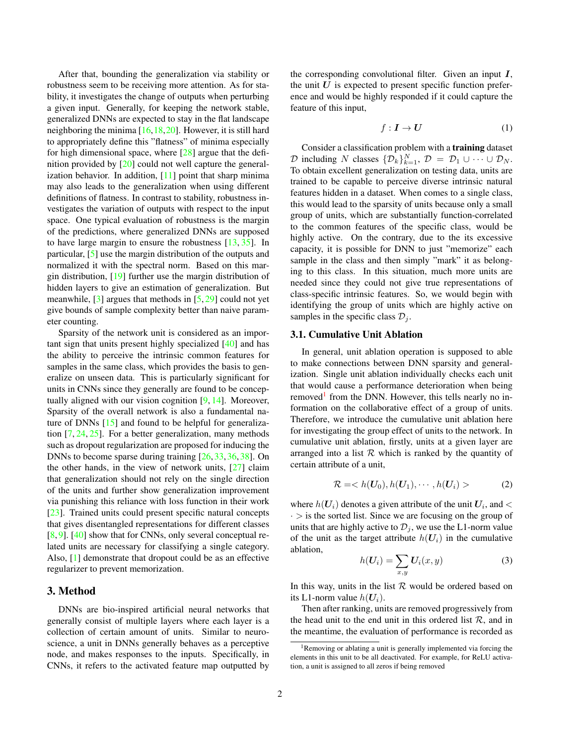<span id="page-1-1"></span>After that, bounding the generalization via stability or robustness seem to be receiving more attention. As for stability, it investigates the change of outputs when perturbing a given input. Generally, for keeping the network stable, generalized DNNs are expected to stay in the flat landscape neighboring the minima  $[16,18,20]$  $[16,18,20]$  $[16,18,20]$ . However, it is still hard to appropriately define this "flatness" of minima especially for high dimensional space, where  $[28]$  argue that the definition provided by [\[20\]](#page-8-9) could not well capture the generalization behavior. In addition,  $[11]$  point that sharp minima may also leads to the generalization when using different definitions of flatness. In contrast to stability, robustness investigates the variation of outputs with respect to the input space. One typical evaluation of robustness is the margin of the predictions, where generalized DNNs are supposed to have large margin to ensure the robustness [\[13,](#page-7-5) [35\]](#page-8-11). In particular, [\[5\]](#page-7-6) use the margin distribution of the outputs and normalized it with the spectral norm. Based on this margin distribution, [\[19\]](#page-8-12) further use the margin distribution of hidden layers to give an estimation of generalization. But meanwhile,  $[3]$  argues that methods in  $[5, 29]$  $[5, 29]$  $[5, 29]$  could not yet give bounds of sample complexity better than naive parameter counting.

Sparsity of the network unit is considered as an important sign that units present highly specialized [\[40\]](#page-8-14) and has the ability to perceive the intrinsic common features for samples in the same class, which provides the basis to generalize on unseen data. This is particularly significant for units in CNNs since they generally are found to be conceptually aligned with our vision cognition [\[9,](#page-7-8) [14\]](#page-7-9). Moreover, Sparsity of the overall network is also a fundamental nature of DNNs [\[15\]](#page-7-10) and found to be helpful for generalization [\[7,](#page-7-11) [24,](#page-8-15) [25\]](#page-8-16). For a better generalization, many methods such as dropout regularization are proposed for inducing the DNNs to become sparse during training [\[26,](#page-8-17)[33,](#page-8-18)[36,](#page-8-19) [38\]](#page-8-20). On the other hands, in the view of network units,  $[27]$  claim that generalization should not rely on the single direction of the units and further show generalization improvement via punishing this reliance with loss function in their work [\[23\]](#page-8-22). Trained units could present specific natural concepts that gives disentangled representations for different classes [\[8,](#page-7-12) [9\]](#page-7-8). [\[40\]](#page-8-14) show that for CNNs, only several conceptual related units are necessary for classifying a single category. Also, [\[1\]](#page-7-13) demonstrate that dropout could be as an effective regularizer to prevent memorization.

# 3. Method

DNNs are bio-inspired artificial neural networks that generally consist of multiple layers where each layer is a collection of certain amount of units. Similar to neuroscience, a unit in DNNs generally behaves as a perceptive node, and makes responses to the inputs. Specifically, in CNNs, it refers to the activated feature map outputted by

the corresponding convolutional filter. Given an input  $I$ , the unit  $U$  is expected to present specific function preference and would be highly responded if it could capture the feature of this input,

$$
f: I \to U \tag{1}
$$

Consider a classification problem with a training dataset D including N classes  $\{\mathcal{D}_k\}_{k=1}^N$ ,  $\mathcal{D} = \mathcal{D}_1 \cup \cdots \cup \mathcal{D}_N$ . To obtain excellent generalization on testing data, units are trained to be capable to perceive diverse intrinsic natural features hidden in a dataset. When comes to a single class, this would lead to the sparsity of units because only a small group of units, which are substantially function-correlated to the common features of the specific class, would be highly active. On the contrary, due to the its excessive capacity, it is possible for DNN to just "memorize" each sample in the class and then simply "mark" it as belonging to this class. In this situation, much more units are needed since they could not give true representations of class-specific intrinsic features. So, we would begin with identifying the group of units which are highly active on samples in the specific class  $\mathcal{D}_i$ .

#### 3.1. Cumulative Unit Ablation

In general, unit ablation operation is supposed to able to make connections between DNN sparsity and generalization. Single unit ablation individually checks each unit that would cause a performance deterioration when being removed<sup>[1](#page-1-0)</sup> from the DNN. However, this tells nearly no information on the collaborative effect of a group of units. Therefore, we introduce the cumulative unit ablation here for investigating the group effect of units to the network. In cumulative unit ablation, firstly, units at a given layer are arranged into a list  $R$  which is ranked by the quantity of certain attribute of a unit,

$$
\mathcal{R} = \langle h(\boldsymbol{U}_0), h(\boldsymbol{U}_1), \cdots, h(\boldsymbol{U}_i) \rangle \tag{2}
$$

where  $h(U_i)$  denotes a given attribute of the unit  $U_i$ , and  $\lt$  $\cdot$  > is the sorted list. Since we are focusing on the group of units that are highly active to  $\mathcal{D}_j$ , we use the L1-norm value of the unit as the target attribute  $h(U_i)$  in the cumulative ablation,

$$
h(\boldsymbol{U}_i) = \sum_{x,y} \boldsymbol{U}_i(x,y) \tag{3}
$$

In this way, units in the list  $R$  would be ordered based on its L1-norm value  $h(U_i)$ .

Then after ranking, units are removed progressively from the head unit to the end unit in this ordered list  $R$ , and in the meantime, the evaluation of performance is recorded as

<span id="page-1-0"></span><sup>1</sup>Removing or ablating a unit is generally implemented via forcing the elements in this unit to be all deactivated. For example, for ReLU activation, a unit is assigned to all zeros if being removed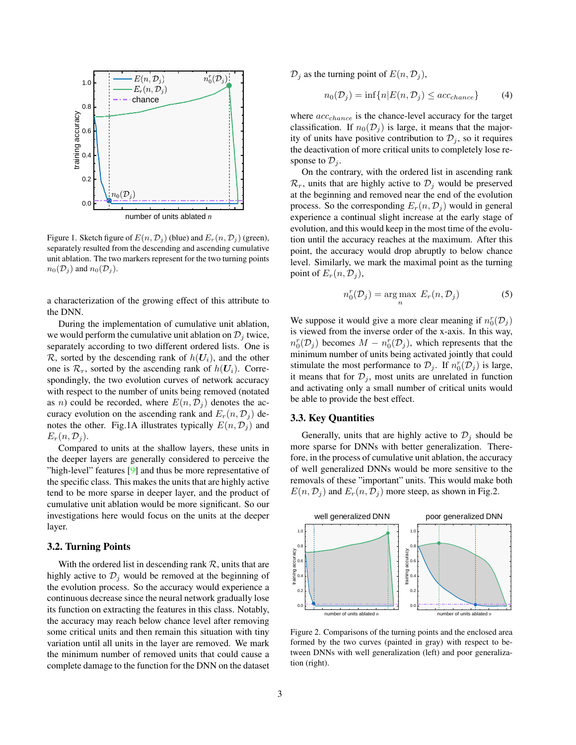<span id="page-2-0"></span>

Figure 1. Sketch figure of  $E(n, \mathcal{D}_i)$  (blue) and  $E_r(n, \mathcal{D}_i)$  (green), separately resulted from the descending and ascending cumulative unit ablation. The two markers represent for the two turning points  $n_0(\mathcal{D}_j)$  and  $n_0(\mathcal{D}_j)$ .

a characterization of the growing effect of this attribute to the DNN.

During the implementation of cumulative unit ablation, we would perform the cumulative unit ablation on  $\mathcal{D}_i$  twice, separately according to two different ordered lists. One is R, sorted by the descending rank of  $h(U_i)$ , and the other one is  $\mathcal{R}_r$ , sorted by the ascending rank of  $h(U_i)$ . Correspondingly, the two evolution curves of network accuracy with respect to the number of units being removed (notated as *n*) could be recorded, where  $E(n, \mathcal{D}_j)$  denotes the accuracy evolution on the ascending rank and  $E_r(n, \mathcal{D}_j)$  denotes the other. Fig.1A illustrates typically  $E(n, \mathcal{D}_j)$  and  $E_r(n, \mathcal{D}_i)$ .

Compared to units at the shallow layers, these units in the deeper layers are generally considered to perceive the "high-level" features [\[9\]](#page-7-8) and thus be more representative of the specific class. This makes the units that are highly active tend to be more sparse in deeper layer, and the product of cumulative unit ablation would be more significant. So our investigations here would focus on the units at the deeper layer.

#### 3.2. Turning Points

With the ordered list in descending rank  $R$ , units that are highly active to  $\mathcal{D}_j$  would be removed at the beginning of the evolution process. So the accuracy would experience a continuous decrease since the neural network gradually lose its function on extracting the features in this class. Notably, the accuracy may reach below chance level after removing some critical units and then remain this situation with tiny variation until all units in the layer are removed. We mark the minimum number of removed units that could cause a complete damage to the function for the DNN on the dataset

 $\mathcal{D}_i$  as the turning point of  $E(n, \mathcal{D}_i)$ ,

$$
n_0(\mathcal{D}_j) = \inf\{n | E(n, \mathcal{D}_j) \leq acc_{chance}\}\tag{4}
$$

where  $acc_{chance}$  is the chance-level accuracy for the target classification. If  $n_0(\mathcal{D}_j)$  is large, it means that the majority of units have positive contribution to  $\mathcal{D}_i$ , so it requires the deactivation of more critical units to completely lose response to  $\mathcal{D}_i$ .

On the contrary, with the ordered list in ascending rank  $\mathcal{R}_r$ , units that are highly active to  $\mathcal{D}_i$  would be preserved at the beginning and removed near the end of the evolution process. So the corresponding  $E_r(n, \mathcal{D}_i)$  would in general experience a continual slight increase at the early stage of evolution, and this would keep in the most time of the evolution until the accuracy reaches at the maximum. After this point, the accuracy would drop abruptly to below chance level. Similarly, we mark the maximal point as the turning point of  $E_r(n, \mathcal{D}_i)$ ,

$$
n_0^r(\mathcal{D}_j) = \underset{n}{\text{arg max}} \ E_r(n, \mathcal{D}_j) \tag{5}
$$

We suppose it would give a more clear meaning if  $n_0^r(\mathcal{D}_j)$ is viewed from the inverse order of the x-axis. In this way,  $n_0^r(\mathcal{D}_j)$  becomes  $M - n_0^r(\mathcal{D}_j)$ , which represents that the minimum number of units being activated jointly that could stimulate the most performance to  $\mathcal{D}_j$ . If  $n_0^r(\mathcal{D}_j)$  is large, it means that for  $\mathcal{D}_j$ , most units are unrelated in function and activating only a small number of critical units would be able to provide the best effect.

### 3.3. Key Quantities

Generally, units that are highly active to  $\mathcal{D}_j$  should be more sparse for DNNs with better generalization. Therefore, in the process of cumulative unit ablation, the accuracy of well generalized DNNs would be more sensitive to the removals of these "important" units. This would make both  $E(n, \mathcal{D}_j)$  and  $E_r(n, \mathcal{D}_j)$  more steep, as shown in Fig.2.



Figure 2. Comparisons of the turning points and the enclosed area formed by the two curves (painted in gray) with respect to between DNNs with well generalization (left) and poor generalization (right).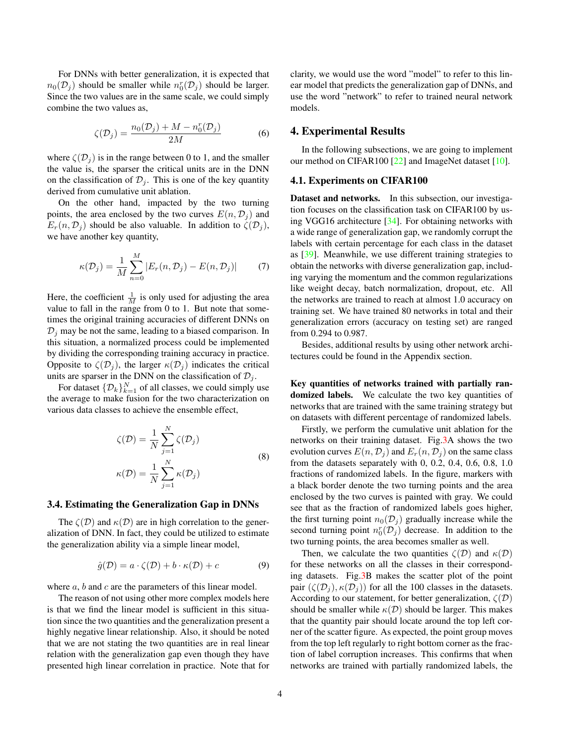<span id="page-3-1"></span>For DNNs with better generalization, it is expected that  $n_0(\mathcal{D}_j)$  should be smaller while  $n_0^r(\mathcal{D}_j)$  should be larger. Since the two values are in the same scale, we could simply combine the two values as,

$$
\zeta(\mathcal{D}_j) = \frac{n_0(\mathcal{D}_j) + M - n_0^r(\mathcal{D}_j)}{2M} \tag{6}
$$

where  $\zeta(\mathcal{D}_i)$  is in the range between 0 to 1, and the smaller the value is, the sparser the critical units are in the DNN on the classification of  $\mathcal{D}_j$ . This is one of the key quantity derived from cumulative unit ablation.

On the other hand, impacted by the two turning points, the area enclosed by the two curves  $E(n, \mathcal{D}_i)$  and  $E_r(n, \mathcal{D}_j)$  should be also valuable. In addition to  $\zeta(\mathcal{D}_j)$ , we have another key quantity,

$$
\kappa(\mathcal{D}_j) = \frac{1}{M} \sum_{n=0}^{M} |E_r(n, \mathcal{D}_j) - E(n, \mathcal{D}_j)| \tag{7}
$$

Here, the coefficient  $\frac{1}{M}$  is only used for adjusting the area value to fall in the range from 0 to 1. But note that sometimes the original training accuracies of different DNNs on  $D_i$  may be not the same, leading to a biased comparison. In this situation, a normalized process could be implemented by dividing the corresponding training accuracy in practice. Opposite to  $\zeta(\mathcal{D}_i)$ , the larger  $\kappa(\mathcal{D}_i)$  indicates the critical units are sparser in the DNN on the classification of  $\mathcal{D}_i$ .

For dataset  $\{\mathcal{D}_k\}_{k=1}^N$  of all classes, we could simply use the average to make fusion for the two characterization on various data classes to achieve the ensemble effect,

$$
\zeta(\mathcal{D}) = \frac{1}{N} \sum_{j=1}^{N} \zeta(\mathcal{D}_j)
$$
  

$$
\kappa(\mathcal{D}) = \frac{1}{N} \sum_{j=1}^{N} \kappa(\mathcal{D}_j)
$$
 (8)

#### 3.4. Estimating the Generalization Gap in DNNs

The  $\zeta(\mathcal{D})$  and  $\kappa(\mathcal{D})$  are in high correlation to the generalization of DNN. In fact, they could be utilized to estimate the generalization ability via a simple linear model,

<span id="page-3-0"></span>
$$
\hat{g}(\mathcal{D}) = a \cdot \zeta(\mathcal{D}) + b \cdot \kappa(\mathcal{D}) + c \tag{9}
$$

where  $a, b$  and  $c$  are the parameters of this linear model.

The reason of not using other more complex models here is that we find the linear model is sufficient in this situation since the two quantities and the generalization present a highly negative linear relationship. Also, it should be noted that we are not stating the two quantities are in real linear relation with the generalization gap even though they have presented high linear correlation in practice. Note that for clarity, we would use the word "model" to refer to this linear model that predicts the generalization gap of DNNs, and use the word "network" to refer to trained neural network models.

#### 4. Experimental Results

In the following subsections, we are going to implement our method on CIFAR100 [\[22\]](#page-8-23) and ImageNet dataset [\[10\]](#page-7-14).

#### 4.1. Experiments on CIFAR100

Dataset and networks. In this subsection, our investigation focuses on the classification task on CIFAR100 by using VGG16 architecture [\[34\]](#page-8-1). For obtaining networks with a wide range of generalization gap, we randomly corrupt the labels with certain percentage for each class in the dataset as [\[39\]](#page-8-4). Meanwhile, we use different training strategies to obtain the networks with diverse generalization gap, including varying the momentum and the common regularizations like weight decay, batch normalization, dropout, etc. All the networks are trained to reach at almost 1.0 accuracy on training set. We have trained 80 networks in total and their generalization errors (accuracy on testing set) are ranged from 0.294 to 0.987.

Besides, additional results by using other network architectures could be found in the Appendix section.

Key quantities of networks trained with partially randomized labels. We calculate the two key quantities of networks that are trained with the same training strategy but on datasets with different percentage of randomized labels.

Firstly, we perform the cumulative unit ablation for the networks on their training dataset. Fig[.3A](#page-4-0) shows the two evolution curves  $E(n, \mathcal{D}_j)$  and  $E_r(n, \mathcal{D}_j)$  on the same class from the datasets separately with 0, 0.2, 0.4, 0.6, 0.8, 1.0 fractions of randomized labels. In the figure, markers with a black border denote the two turning points and the area enclosed by the two curves is painted with gray. We could see that as the fraction of randomized labels goes higher, the first turning point  $n_0(\mathcal{D}_i)$  gradually increase while the second turning point  $n_0^r(D_j)$  decrease. In addition to the two turning points, the area becomes smaller as well.

Then, we calculate the two quantities  $\zeta(\mathcal{D})$  and  $\kappa(\mathcal{D})$ for these networks on all the classes in their corresponding datasets. Fig[.3B](#page-4-0) makes the scatter plot of the point pair  $(\zeta(\mathcal{D}_i), \kappa(\mathcal{D}_i))$  for all the 100 classes in the datasets. According to our statement, for better generalization,  $\zeta(\mathcal{D})$ should be smaller while  $\kappa(\mathcal{D})$  should be larger. This makes that the quantity pair should locate around the top left corner of the scatter figure. As expected, the point group moves from the top left regularly to right bottom corner as the fraction of label corruption increases. This confirms that when networks are trained with partially randomized labels, the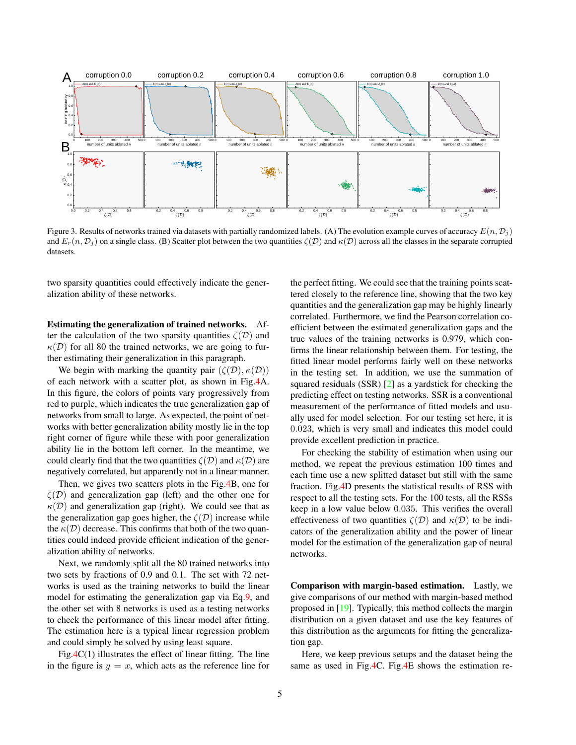<span id="page-4-1"></span><span id="page-4-0"></span>

Figure 3. Results of networks trained via datasets with partially randomized labels. (A) The evolution example curves of accuracy  $E(n, \mathcal{D}_i)$ and  $E_r(n, \mathcal{D}_i)$  on a single class. (B) Scatter plot between the two quantities  $\zeta(\mathcal{D})$  and  $\kappa(\mathcal{D})$  across all the classes in the separate corrupted datasets.

two sparsity quantities could effectively indicate the generalization ability of these networks.

Estimating the generalization of trained networks. After the calculation of the two sparsity quantities  $\zeta(\mathcal{D})$  and  $\kappa(\mathcal{D})$  for all 80 the trained networks, we are going to further estimating their generalization in this paragraph.

We begin with marking the quantity pair  $(\zeta(\mathcal{D}), \kappa(\mathcal{D}))$ of each network with a scatter plot, as shown in Fig[.4A](#page-5-0). In this figure, the colors of points vary progressively from red to purple, which indicates the true generalization gap of networks from small to large. As expected, the point of networks with better generalization ability mostly lie in the top right corner of figure while these with poor generalization ability lie in the bottom left corner. In the meantime, we could clearly find that the two quantities  $\zeta(\mathcal{D})$  and  $\kappa(\mathcal{D})$  are negatively correlated, but apparently not in a linear manner.

Then, we gives two scatters plots in the Fig[.4B](#page-5-0), one for  $\zeta(\mathcal{D})$  and generalization gap (left) and the other one for  $\kappa(\mathcal{D})$  and generalization gap (right). We could see that as the generalization gap goes higher, the  $\zeta(\mathcal{D})$  increase while the  $\kappa(\mathcal{D})$  decrease. This confirms that both of the two quantities could indeed provide efficient indication of the generalization ability of networks.

Next, we randomly split all the 80 trained networks into two sets by fractions of 0.9 and 0.1. The set with 72 networks is used as the training networks to build the linear model for estimating the generalization gap via Eq[.9,](#page-3-0) and the other set with 8 networks is used as a testing networks to check the performance of this linear model after fitting. The estimation here is a typical linear regression problem and could simply be solved by using least square.

Fig. $4C(1)$  illustrates the effect of linear fitting. The line in the figure is  $y = x$ , which acts as the reference line for the perfect fitting. We could see that the training points scattered closely to the reference line, showing that the two key quantities and the generalization gap may be highly linearly correlated. Furthermore, we find the Pearson correlation coefficient between the estimated generalization gaps and the true values of the training networks is 0.979, which confirms the linear relationship between them. For testing, the fitted linear model performs fairly well on these networks in the testing set. In addition, we use the summation of squared residuals (SSR) [\[2\]](#page-7-15) as a yardstick for checking the predicting effect on testing networks. SSR is a conventional measurement of the performance of fitted models and usually used for model selection. For our testing set here, it is 0.023, which is very small and indicates this model could provide excellent prediction in practice.

For checking the stability of estimation when using our method, we repeat the previous estimation 100 times and each time use a new splitted dataset but still with the same fraction. Fig[.4D](#page-5-0) presents the statistical results of RSS with respect to all the testing sets. For the 100 tests, all the RSSs keep in a low value below 0.035. This verifies the overall effectiveness of two quantities  $\zeta(\mathcal{D})$  and  $\kappa(\mathcal{D})$  to be indicators of the generalization ability and the power of linear model for the estimation of the generalization gap of neural networks.

Comparison with margin-based estimation. Lastly, we give comparisons of our method with margin-based method proposed in [\[19\]](#page-8-12). Typically, this method collects the margin distribution on a given dataset and use the key features of this distribution as the arguments for fitting the generalization gap.

Here, we keep previous setups and the dataset being the same as used in Fig[.4C](#page-5-0). Fig[.4E](#page-5-0) shows the estimation re-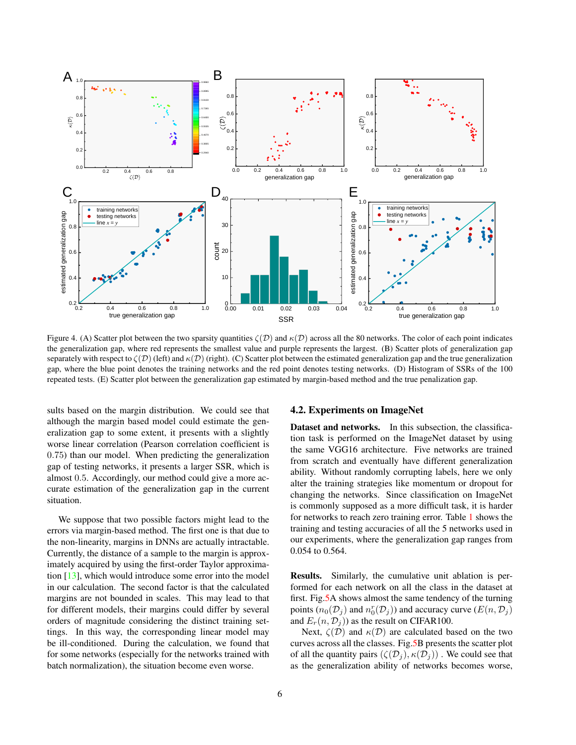<span id="page-5-1"></span><span id="page-5-0"></span>

Figure 4. (A) Scatter plot between the two sparsity quantities  $\zeta(D)$  and  $\kappa(D)$  across all the 80 networks. The color of each point indicates the generalization gap, where red represents the smallest value and purple represents the largest. (B) Scatter plots of generalization gap separately with respect to  $\zeta(\mathcal{D})$  (left) and  $\kappa(\mathcal{D})$  (right). (C) Scatter plot between the estimated generalization gap and the true generalization gap, where the blue point denotes the training networks and the red point denotes testing networks. (D) Histogram of SSRs of the 100 repeated tests. (E) Scatter plot between the generalization gap estimated by margin-based method and the true penalization gap.

sults based on the margin distribution. We could see that although the margin based model could estimate the generalization gap to some extent, it presents with a slightly worse linear correlation (Pearson correlation coefficient is 0.75) than our model. When predicting the generalization gap of testing networks, it presents a larger SSR, which is almost 0.5. Accordingly, our method could give a more accurate estimation of the generalization gap in the current situation.

We suppose that two possible factors might lead to the errors via margin-based method. The first one is that due to the non-linearity, margins in DNNs are actually intractable. Currently, the distance of a sample to the margin is approximately acquired by using the first-order Taylor approximation [\[13\]](#page-7-5), which would introduce some error into the model in our calculation. The second factor is that the calculated margins are not bounded in scales. This may lead to that for different models, their margins could differ by several orders of magnitude considering the distinct training settings. In this way, the corresponding linear model may be ill-conditioned. During the calculation, we found that for some networks (especially for the networks trained with batch normalization), the situation become even worse.

#### 4.2. Experiments on ImageNet

Dataset and networks. In this subsection, the classification task is performed on the ImageNet dataset by using the same VGG16 architecture. Five networks are trained from scratch and eventually have different generalization ability. Without randomly corrupting labels, here we only alter the training strategies like momentum or dropout for changing the networks. Since classification on ImageNet is commonly supposed as a more difficult task, it is harder for networks to reach zero training error. Table [1](#page-6-0) shows the training and testing accuracies of all the 5 networks used in our experiments, where the generalization gap ranges from 0.054 to 0.564.

Results. Similarly, the cumulative unit ablation is performed for each network on all the class in the dataset at first. Fig[.5A](#page-6-1) shows almost the same tendency of the turning points  $(n_0(\mathcal{D}_j)$  and  $n_0^r(\mathcal{D}_j))$  and accuracy curve  $(E(n, \mathcal{D}_j))$ and  $E_r(n, \mathcal{D}_j)$  as the result on CIFAR100.

Next,  $\zeta(\mathcal{D})$  and  $\kappa(\mathcal{D})$  are calculated based on the two curves across all the classes. Fig[.5B](#page-6-1) presents the scatter plot of all the quantity pairs  $(\zeta(\mathcal{D}_i), \kappa(\mathcal{D}_i))$ . We could see that as the generalization ability of networks becomes worse,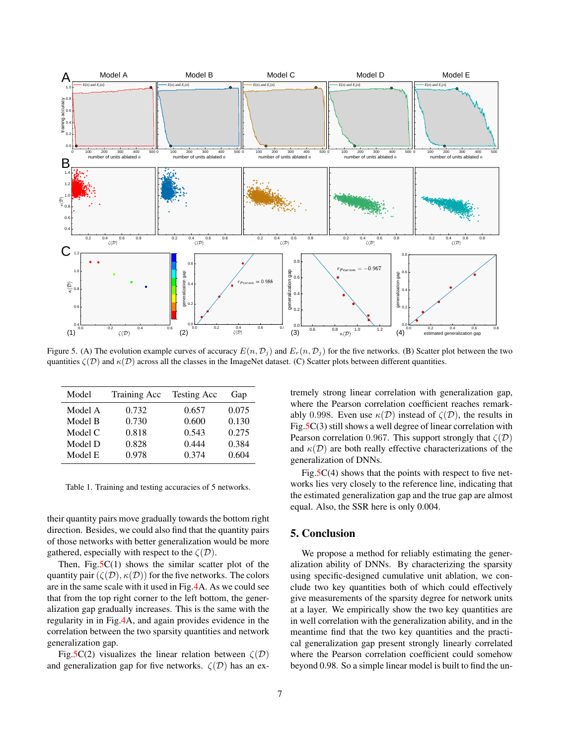<span id="page-6-1"></span>

Figure 5. (A) The evolution example curves of accuracy  $E(n, \mathcal{D}_j)$  and  $E_r(n, \mathcal{D}_j)$  for the five networks. (B) Scatter plot between the two quantities  $\zeta(\mathcal{D})$  and  $\kappa(\mathcal{D})$  across all the classes in the ImageNet dataset. (C) Scatter plots between different quantities.

<span id="page-6-0"></span>

| Model   | Training Acc | Testing Acc | Gap   |
|---------|--------------|-------------|-------|
| Model A | 0.732        | 0.657       | 0.075 |
| Model B | 0.730        | 0.600       | 0.130 |
| Model C | 0.818        | 0.543       | 0.275 |
| Model D | 0.828        | 0.444       | 0.384 |
| Model E | 0.978        | 0.374       | 0.604 |

Table 1. Training and testing accuracies of 5 networks.

their quantity pairs move gradually towards the bottom right direction. Besides, we could also find that the quantity pairs of those networks with better generalization would be more gathered, especially with respect to the  $\zeta(\mathcal{D})$ .

Then, Fig. $5C(1)$  shows the similar scatter plot of the quantity pair  $(\zeta(\mathcal{D}), \kappa(\mathcal{D}))$  for the five networks. The colors are in the same scale with it used in Fig[.4A](#page-5-0). As we could see that from the top right corner to the left bottom, the generalization gap gradually increases. This is the same with the regularity in in Fig[.4A](#page-5-0), and again provides evidence in the correlation between the two sparsity quantities and network generalization gap.

Fig[.5C](#page-6-1)(2) visualizes the linear relation between  $\zeta(\mathcal{D})$ and generalization gap for five networks.  $\zeta(\mathcal{D})$  has an extremely strong linear correlation with generalization gap, where the Pearson correlation coefficient reaches remarkably 0.998. Even use  $\kappa(\mathcal{D})$  instead of  $\zeta(\mathcal{D})$ , the results in Fig[.5C](#page-6-1)(3) still shows a well degree of linear correlation with Pearson correlation 0.967. This support strongly that  $\zeta(\mathcal{D})$ and  $\kappa(\mathcal{D})$  are both really effective characterizations of the generalization of DNNs.

Fig.5 $C(4)$  shows that the points with respect to five networks lies very closely to the reference line, indicating that the estimated generalization gap and the true gap are almost equal. Also, the SSR here is only 0.004.

# 5. Conclusion

We propose a method for reliably estimating the generalization ability of DNNs. By characterizing the sparsity using specific-designed cumulative unit ablation, we conclude two key quantities both of which could effectively give measurements of the sparsity degree for network units at a layer. We empirically show the two key quantities are in well correlation with the generalization ability, and in the meantime find that the two key quantities and the practical generalization gap present strongly linearly correlated where the Pearson correlation coefficient could somehow beyond 0.98. So a simple linear model is built to find the un-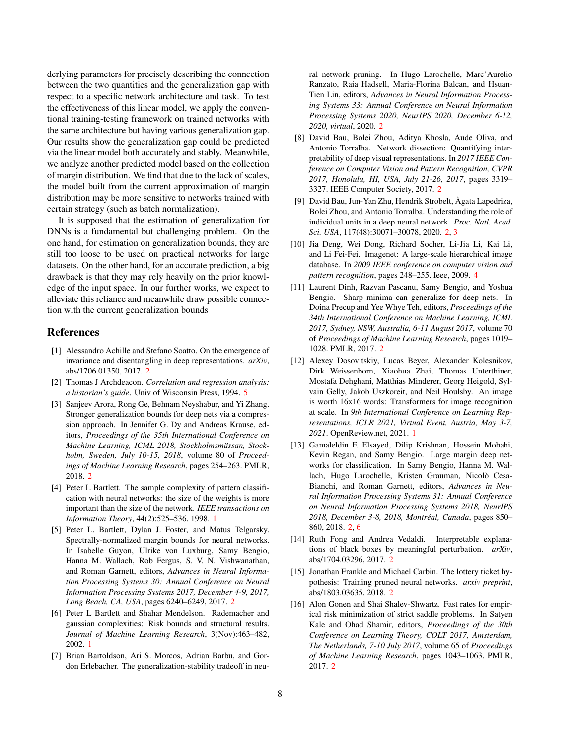derlying parameters for precisely describing the connection between the two quantities and the generalization gap with respect to a specific network architecture and task. To test the effectiveness of this linear model, we apply the conventional training-testing framework on trained networks with the same architecture but having various generalization gap. Our results show the generalization gap could be predicted via the linear model both accurately and stably. Meanwhile, we analyze another predicted model based on the collection of margin distribution. We find that due to the lack of scales, the model built from the current approximation of margin distribution may be more sensitive to networks trained with certain strategy (such as batch normalization).

It is supposed that the estimation of generalization for DNNs is a fundamental but challenging problem. On the one hand, for estimation on generalization bounds, they are still too loose to be used on practical networks for large datasets. On the other hand, for an accurate prediction, a big drawback is that they may rely heavily on the prior knowledge of the input space. In our further works, we expect to alleviate this reliance and meanwhile draw possible connection with the current generalization bounds

# References

- <span id="page-7-13"></span>[1] Alessandro Achille and Stefano Soatto. On the emergence of invariance and disentangling in deep representations. *arXiv*, abs/1706.01350, 2017. [2](#page-1-1)
- <span id="page-7-15"></span>[2] Thomas J Archdeacon. *Correlation and regression analysis: a historian's guide*. Univ of Wisconsin Press, 1994. [5](#page-4-1)
- <span id="page-7-7"></span>[3] Sanjeev Arora, Rong Ge, Behnam Neyshabur, and Yi Zhang. Stronger generalization bounds for deep nets via a compression approach. In Jennifer G. Dy and Andreas Krause, editors, *Proceedings of the 35th International Conference on Machine Learning, ICML 2018, Stockholmsmassan, Stock- ¨ holm, Sweden, July 10-15, 2018*, volume 80 of *Proceedings of Machine Learning Research*, pages 254–263. PMLR, 2018. [2](#page-1-1)
- <span id="page-7-1"></span>[4] Peter L Bartlett. The sample complexity of pattern classification with neural networks: the size of the weights is more important than the size of the network. *IEEE transactions on Information Theory*, 44(2):525–536, 1998. [1](#page-0-0)
- <span id="page-7-6"></span>[5] Peter L. Bartlett, Dylan J. Foster, and Matus Telgarsky. Spectrally-normalized margin bounds for neural networks. In Isabelle Guyon, Ulrike von Luxburg, Samy Bengio, Hanna M. Wallach, Rob Fergus, S. V. N. Vishwanathan, and Roman Garnett, editors, *Advances in Neural Information Processing Systems 30: Annual Conference on Neural Information Processing Systems 2017, December 4-9, 2017, Long Beach, CA, USA*, pages 6240–6249, 2017. [2](#page-1-1)
- <span id="page-7-2"></span>[6] Peter L Bartlett and Shahar Mendelson. Rademacher and gaussian complexities: Risk bounds and structural results. *Journal of Machine Learning Research*, 3(Nov):463–482, 2002. [1](#page-0-0)
- <span id="page-7-11"></span>[7] Brian Bartoldson, Ari S. Morcos, Adrian Barbu, and Gordon Erlebacher. The generalization-stability tradeoff in neu-

ral network pruning. In Hugo Larochelle, Marc'Aurelio Ranzato, Raia Hadsell, Maria-Florina Balcan, and Hsuan-Tien Lin, editors, *Advances in Neural Information Processing Systems 33: Annual Conference on Neural Information Processing Systems 2020, NeurIPS 2020, December 6-12, 2020, virtual*, 2020. [2](#page-1-1)

- <span id="page-7-12"></span>[8] David Bau, Bolei Zhou, Aditya Khosla, Aude Oliva, and Antonio Torralba. Network dissection: Quantifying interpretability of deep visual representations. In *2017 IEEE Conference on Computer Vision and Pattern Recognition, CVPR 2017, Honolulu, HI, USA, July 21-26, 2017*, pages 3319– 3327. IEEE Computer Society, 2017. [2](#page-1-1)
- <span id="page-7-8"></span>[9] David Bau, Jun-Yan Zhu, Hendrik Strobelt, Agata Lapedriza, ` Bolei Zhou, and Antonio Torralba. Understanding the role of individual units in a deep neural network. *Proc. Natl. Acad. Sci. USA*, 117(48):30071–30078, 2020. [2,](#page-1-1) [3](#page-2-0)
- <span id="page-7-14"></span>[10] Jia Deng, Wei Dong, Richard Socher, Li-Jia Li, Kai Li, and Li Fei-Fei. Imagenet: A large-scale hierarchical image database. In *2009 IEEE conference on computer vision and pattern recognition*, pages 248–255. Ieee, 2009. [4](#page-3-1)
- <span id="page-7-4"></span>[11] Laurent Dinh, Razvan Pascanu, Samy Bengio, and Yoshua Bengio. Sharp minima can generalize for deep nets. In Doina Precup and Yee Whye Teh, editors, *Proceedings of the 34th International Conference on Machine Learning, ICML 2017, Sydney, NSW, Australia, 6-11 August 2017*, volume 70 of *Proceedings of Machine Learning Research*, pages 1019– 1028. PMLR, 2017. [2](#page-1-1)
- <span id="page-7-0"></span>[12] Alexey Dosovitskiy, Lucas Beyer, Alexander Kolesnikov, Dirk Weissenborn, Xiaohua Zhai, Thomas Unterthiner, Mostafa Dehghani, Matthias Minderer, Georg Heigold, Sylvain Gelly, Jakob Uszkoreit, and Neil Houlsby. An image is worth 16x16 words: Transformers for image recognition at scale. In *9th International Conference on Learning Representations, ICLR 2021, Virtual Event, Austria, May 3-7, 2021*. OpenReview.net, 2021. [1](#page-0-0)
- <span id="page-7-5"></span>[13] Gamaleldin F. Elsayed, Dilip Krishnan, Hossein Mobahi, Kevin Regan, and Samy Bengio. Large margin deep networks for classification. In Samy Bengio, Hanna M. Wallach, Hugo Larochelle, Kristen Grauman, Nicolò Cesa-Bianchi, and Roman Garnett, editors, *Advances in Neural Information Processing Systems 31: Annual Conference on Neural Information Processing Systems 2018, NeurIPS* 2018, December 3-8, 2018, Montréal, Canada, pages 850– 860, 2018. [2,](#page-1-1) [6](#page-5-1)
- <span id="page-7-9"></span>[14] Ruth Fong and Andrea Vedaldi. Interpretable explanations of black boxes by meaningful perturbation. *arXiv*, abs/1704.03296, 2017. [2](#page-1-1)
- <span id="page-7-10"></span>[15] Jonathan Frankle and Michael Carbin. The lottery ticket hypothesis: Training pruned neural networks. *arxiv preprint*, abs/1803.03635, 2018. [2](#page-1-1)
- <span id="page-7-3"></span>[16] Alon Gonen and Shai Shalev-Shwartz. Fast rates for empirical risk minimization of strict saddle problems. In Satyen Kale and Ohad Shamir, editors, *Proceedings of the 30th Conference on Learning Theory, COLT 2017, Amsterdam, The Netherlands, 7-10 July 2017*, volume 65 of *Proceedings of Machine Learning Research*, pages 1043–1063. PMLR, 2017. [2](#page-1-1)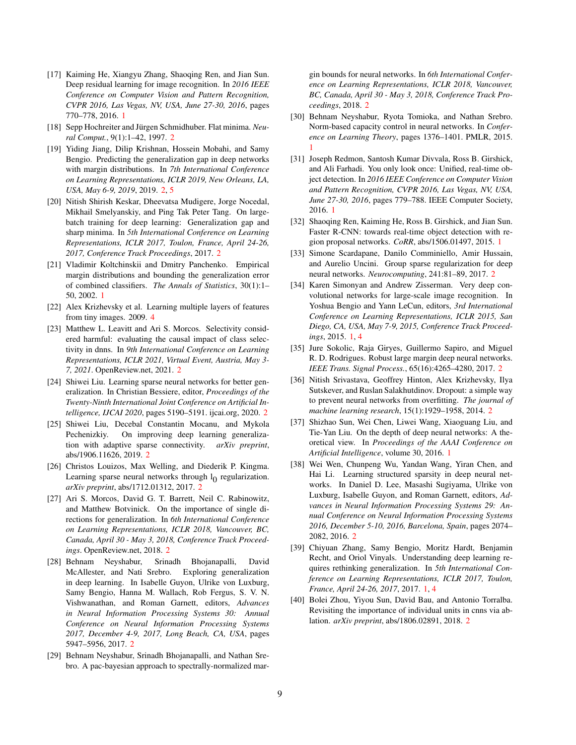- <span id="page-8-0"></span>[17] Kaiming He, Xiangyu Zhang, Shaoqing Ren, and Jian Sun. Deep residual learning for image recognition. In *2016 IEEE Conference on Computer Vision and Pattern Recognition, CVPR 2016, Las Vegas, NV, USA, June 27-30, 2016*, pages 770–778, 2016. [1](#page-0-0)
- <span id="page-8-8"></span>[18] Sepp Hochreiter and Jürgen Schmidhuber. Flat minima. Neu*ral Comput.*, 9(1):1–42, 1997. [2](#page-1-1)
- <span id="page-8-12"></span>[19] Yiding Jiang, Dilip Krishnan, Hossein Mobahi, and Samy Bengio. Predicting the generalization gap in deep networks with margin distributions. In *7th International Conference on Learning Representations, ICLR 2019, New Orleans, LA, USA, May 6-9, 2019*, 2019. [2,](#page-1-1) [5](#page-4-1)
- <span id="page-8-9"></span>[20] Nitish Shirish Keskar, Dheevatsa Mudigere, Jorge Nocedal, Mikhail Smelyanskiy, and Ping Tak Peter Tang. On largebatch training for deep learning: Generalization gap and sharp minima. In *5th International Conference on Learning Representations, ICLR 2017, Toulon, France, April 24-26, 2017, Conference Track Proceedings*, 2017. [2](#page-1-1)
- <span id="page-8-5"></span>[21] Vladimir Koltchinskii and Dmitry Panchenko. Empirical margin distributions and bounding the generalization error of combined classifiers. *The Annals of Statistics*, 30(1):1– 50, 2002. [1](#page-0-0)
- <span id="page-8-23"></span>[22] Alex Krizhevsky et al. Learning multiple layers of features from tiny images. 2009. [4](#page-3-1)
- <span id="page-8-22"></span>[23] Matthew L. Leavitt and Ari S. Morcos. Selectivity considered harmful: evaluating the causal impact of class selectivity in dnns. In *9th International Conference on Learning Representations, ICLR 2021, Virtual Event, Austria, May 3- 7, 2021*. OpenReview.net, 2021. [2](#page-1-1)
- <span id="page-8-15"></span>[24] Shiwei Liu. Learning sparse neural networks for better generalization. In Christian Bessiere, editor, *Proceedings of the Twenty-Ninth International Joint Conference on Artificial Intelligence, IJCAI 2020*, pages 5190–5191. ijcai.org, 2020. [2](#page-1-1)
- <span id="page-8-16"></span>[25] Shiwei Liu, Decebal Constantin Mocanu, and Mykola Pechenizkiy. On improving deep learning generalization with adaptive sparse connectivity. *arXiv preprint*, abs/1906.11626, 2019. [2](#page-1-1)
- <span id="page-8-17"></span>[26] Christos Louizos, Max Welling, and Diederik P. Kingma. Learning sparse neural networks through  $l_0$  regularization. *arXiv preprint*, abs/1712.01312, 2017. [2](#page-1-1)
- <span id="page-8-21"></span>[27] Ari S. Morcos, David G. T. Barrett, Neil C. Rabinowitz, and Matthew Botvinick. On the importance of single directions for generalization. In *6th International Conference on Learning Representations, ICLR 2018, Vancouver, BC, Canada, April 30 - May 3, 2018, Conference Track Proceedings*. OpenReview.net, 2018. [2](#page-1-1)
- <span id="page-8-10"></span>[28] Behnam Neyshabur, Srinadh Bhojanapalli, David McAllester, and Nati Srebro. Exploring generalization in deep learning. In Isabelle Guyon, Ulrike von Luxburg, Samy Bengio, Hanna M. Wallach, Rob Fergus, S. V. N. Vishwanathan, and Roman Garnett, editors, *Advances in Neural Information Processing Systems 30: Annual Conference on Neural Information Processing Systems 2017, December 4-9, 2017, Long Beach, CA, USA*, pages 5947–5956, 2017. [2](#page-1-1)
- <span id="page-8-13"></span>[29] Behnam Neyshabur, Srinadh Bhojanapalli, and Nathan Srebro. A pac-bayesian approach to spectrally-normalized mar-

gin bounds for neural networks. In *6th International Conference on Learning Representations, ICLR 2018, Vancouver, BC, Canada, April 30 - May 3, 2018, Conference Track Proceedings*, 2018. [2](#page-1-1)

- <span id="page-8-6"></span>[30] Behnam Neyshabur, Ryota Tomioka, and Nathan Srebro. Norm-based capacity control in neural networks. In *Conference on Learning Theory*, pages 1376–1401. PMLR, 2015. [1](#page-0-0)
- <span id="page-8-2"></span>[31] Joseph Redmon, Santosh Kumar Divvala, Ross B. Girshick, and Ali Farhadi. You only look once: Unified, real-time object detection. In *2016 IEEE Conference on Computer Vision and Pattern Recognition, CVPR 2016, Las Vegas, NV, USA, June 27-30, 2016*, pages 779–788. IEEE Computer Society, 2016. [1](#page-0-0)
- <span id="page-8-3"></span>[32] Shaoqing Ren, Kaiming He, Ross B. Girshick, and Jian Sun. Faster R-CNN: towards real-time object detection with region proposal networks. *CoRR*, abs/1506.01497, 2015. [1](#page-0-0)
- <span id="page-8-18"></span>[33] Simone Scardapane, Danilo Comminiello, Amir Hussain, and Aurelio Uncini. Group sparse regularization for deep neural networks. *Neurocomputing*, 241:81–89, 2017. [2](#page-1-1)
- <span id="page-8-1"></span>[34] Karen Simonyan and Andrew Zisserman. Very deep convolutional networks for large-scale image recognition. In Yoshua Bengio and Yann LeCun, editors, *3rd International Conference on Learning Representations, ICLR 2015, San Diego, CA, USA, May 7-9, 2015, Conference Track Proceedings*, 2015. [1,](#page-0-0) [4](#page-3-1)
- <span id="page-8-11"></span>[35] Jure Sokolic, Raja Giryes, Guillermo Sapiro, and Miguel R. D. Rodrigues. Robust large margin deep neural networks. *IEEE Trans. Signal Process.*, 65(16):4265–4280, 2017. [2](#page-1-1)
- <span id="page-8-19"></span>[36] Nitish Srivastava, Geoffrey Hinton, Alex Krizhevsky, Ilya Sutskever, and Ruslan Salakhutdinov. Dropout: a simple way to prevent neural networks from overfitting. *The journal of machine learning research*, 15(1):1929–1958, 2014. [2](#page-1-1)
- <span id="page-8-7"></span>[37] Shizhao Sun, Wei Chen, Liwei Wang, Xiaoguang Liu, and Tie-Yan Liu. On the depth of deep neural networks: A theoretical view. In *Proceedings of the AAAI Conference on Artificial Intelligence*, volume 30, 2016. [1](#page-0-0)
- <span id="page-8-20"></span>[38] Wei Wen, Chunpeng Wu, Yandan Wang, Yiran Chen, and Hai Li. Learning structured sparsity in deep neural networks. In Daniel D. Lee, Masashi Sugiyama, Ulrike von Luxburg, Isabelle Guyon, and Roman Garnett, editors, *Advances in Neural Information Processing Systems 29: Annual Conference on Neural Information Processing Systems 2016, December 5-10, 2016, Barcelona, Spain*, pages 2074– 2082, 2016. [2](#page-1-1)
- <span id="page-8-4"></span>[39] Chiyuan Zhang, Samy Bengio, Moritz Hardt, Benjamin Recht, and Oriol Vinyals. Understanding deep learning requires rethinking generalization. In *5th International Conference on Learning Representations, ICLR 2017, Toulon, France, April 24-26, 2017*, 2017. [1,](#page-0-0) [4](#page-3-1)
- <span id="page-8-14"></span>[40] Bolei Zhou, Yiyou Sun, David Bau, and Antonio Torralba. Revisiting the importance of individual units in cnns via ablation. *arXiv preprint*, abs/1806.02891, 2018. [2](#page-1-1)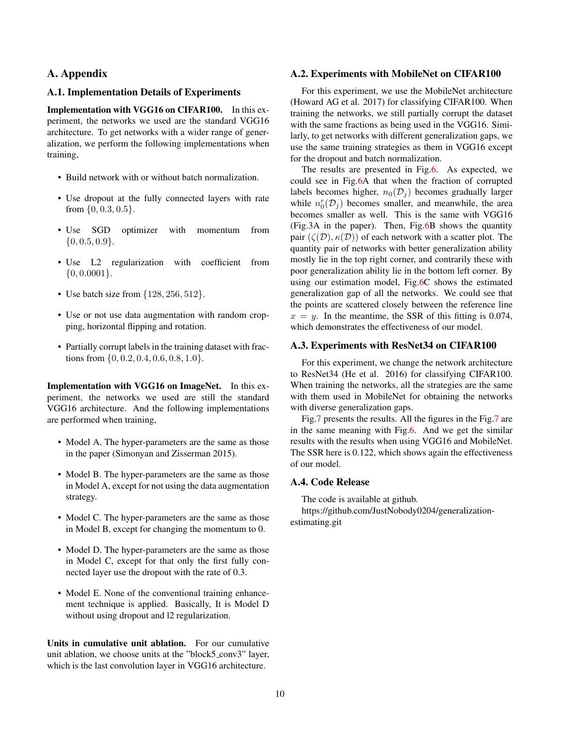# A. Appendix

### A.1. Implementation Details of Experiments

Implementation with VGG16 on CIFAR100. In this experiment, the networks we used are the standard VGG16 architecture. To get networks with a wider range of generalization, we perform the following implementations when training,

- Build network with or without batch normalization.
- Use dropout at the fully connected layers with rate from  $\{0, 0.3, 0.5\}$ .
- Use SGD optimizer with momentum from  $\{0, 0.5, 0.9\}.$
- Use L2 regularization with coefficient from  $\{0, 0.0001\}.$
- Use batch size from  $\{128, 256, 512\}.$
- Use or not use data augmentation with random cropping, horizontal flipping and rotation.
- Partially corrupt labels in the training dataset with fractions from  $\{0, 0.2, 0.4, 0.6, 0.8, 1.0\}$ .

Implementation with VGG16 on ImageNet. In this experiment, the networks we used are still the standard VGG16 architecture. And the following implementations are performed when training,

- Model A. The hyper-parameters are the same as those in the paper (Simonyan and Zisserman 2015).
- Model B. The hyper-parameters are the same as those in Model A, except for not using the data augmentation strategy.
- Model C. The hyper-parameters are the same as those in Model B, except for changing the momentum to 0.
- Model D. The hyper-parameters are the same as those in Model C, except for that only the first fully connected layer use the dropout with the rate of 0.3.
- Model E. None of the conventional training enhancement technique is applied. Basically, It is Model D without using dropout and l2 regularization.

Units in cumulative unit ablation. For our cumulative unit ablation, we choose units at the "block5 conv3" layer, which is the last convolution layer in VGG16 architecture.

#### A.2. Experiments with MobileNet on CIFAR100

For this experiment, we use the MobileNet architecture (Howard AG et al. 2017) for classifying CIFAR100. When training the networks, we still partially corrupt the dataset with the same fractions as being used in the VGG16. Similarly, to get networks with different generalization gaps, we use the same training strategies as them in VGG16 except for the dropout and batch normalization.

The results are presented in Fig[.6.](#page-10-0) As expected, we could see in Fig[.6A](#page-10-0) that when the fraction of corrupted labels becomes higher,  $n_0(\mathcal{D}_i)$  becomes gradually larger while  $n_0^r(\mathcal{D}_j)$  becomes smaller, and meanwhile, the area becomes smaller as well. This is the same with VGG16 (Fig.3A in the paper). Then, Fig[.6B](#page-10-0) shows the quantity pair  $(\zeta(\mathcal{D}), \kappa(\mathcal{D}))$  of each network with a scatter plot. The quantity pair of networks with better generalization ability mostly lie in the top right corner, and contrarily these with poor generalization ability lie in the bottom left corner. By using our estimation model, Fig[.6C](#page-10-0) shows the estimated generalization gap of all the networks. We could see that the points are scattered closely between the reference line  $x = y$ . In the meantime, the SSR of this fitting is 0.074, which demonstrates the effectiveness of our model.

### A.3. Experiments with ResNet34 on CIFAR100

For this experiment, we change the network architecture to ResNet34 (He et al. 2016) for classifying CIFAR100. When training the networks, all the strategies are the same with them used in MobileNet for obtaining the networks with diverse generalization gaps.

Fig[.7](#page-10-1) presents the results. All the figures in the Fig[.7](#page-10-1) are in the same meaning with Fig[.6.](#page-10-0) And we get the similar results with the results when using VGG16 and MobileNet. The SSR here is 0.122, which shows again the effectiveness of our model.

### A.4. Code Release

The code is available at github.

https://github.com/JustNobody0204/generalizationestimating.git